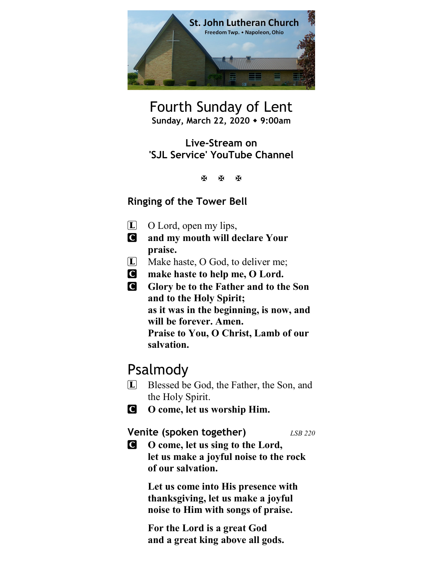

Fourth Sunday of Lent Sunday, March 22, 2020 • 9:00am

Live-Stream on 'SJL Service' YouTube Channel

医图图

### Ringing of the Tower Bell

- $\Box$  O Lord, open my lips,
- C and my mouth will declare Your praise.
- L Make haste, O God, to deliver me;
- C make haste to help me, O Lord.
- **C** Glory be to the Father and to the Son and to the Holy Spirit; as it was in the beginning, is now, and will be forever. Amen. Praise to You, O Christ, Lamb of our salvation.

## Psalmody

- L Blessed be God, the Father, the Son, and the Holy Spirit.
- C O come, let us worship Him.

Venite (spoken together) LSB 220

C O come, let us sing to the Lord, let us make a joyful noise to the rock of our salvation.

> Let us come into His presence with thanksgiving, let us make a joyful noise to Him with songs of praise.

For the Lord is a great God and a great king above all gods.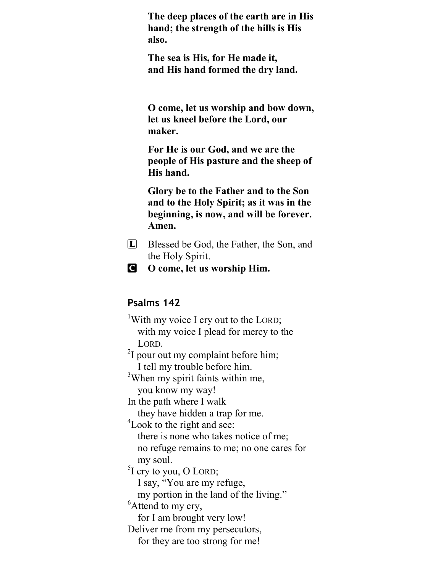The deep places of the earth are in His hand; the strength of the hills is His also.

The sea is His, for He made it, and His hand formed the dry land.

O come, let us worship and bow down, let us kneel before the Lord, our maker.

For He is our God, and we are the people of His pasture and the sheep of His hand.

Glory be to the Father and to the Son and to the Holy Spirit; as it was in the beginning, is now, and will be forever. Amen.

- L Blessed be God, the Father, the Son, and the Holy Spirit.
- C O come, let us worship Him.

### Psalms 142

<sup>1</sup>With my voice I cry out to the LORD; with my voice I plead for mercy to the LORD.  $2I$  pour out my complaint before him;

I tell my trouble before him.

<sup>3</sup>When my spirit faints within me, you know my way!

In the path where I walk

they have hidden a trap for me.

<sup>4</sup>Look to the right and see:

 there is none who takes notice of me; no refuge remains to me; no one cares for my soul.

 ${}^{5}$ I cry to you, O LORD;

I say, "You are my refuge,

my portion in the land of the living."

<sup>6</sup>Attend to my cry,

for I am brought very low!

Deliver me from my persecutors,

for they are too strong for me!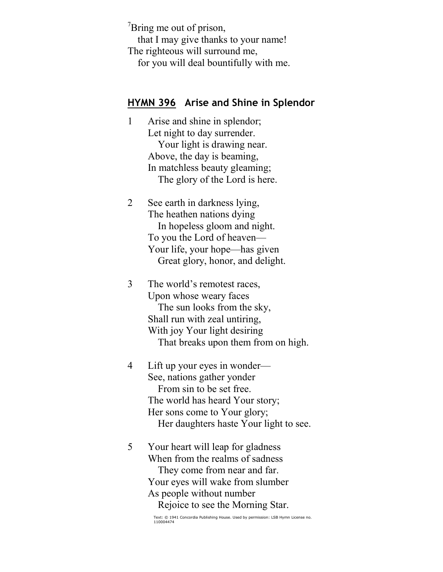$\mathrm{7Bring}$  me out of prison,

 that I may give thanks to your name! The righteous will surround me,

for you will deal bountifully with me.

#### HYMN 396 Arise and Shine in Splendor

- 1 Arise and shine in splendor; Let night to day surrender. Your light is drawing near. Above, the day is beaming, In matchless beauty gleaming; The glory of the Lord is here.
- 2 See earth in darkness lying, The heathen nations dying In hopeless gloom and night. To you the Lord of heaven— Your life, your hope—has given Great glory, honor, and delight.
- 3 The world's remotest races, Upon whose weary faces The sun looks from the sky, Shall run with zeal untiring, With joy Your light desiring That breaks upon them from on high.
- 4 Lift up your eyes in wonder— See, nations gather yonder From sin to be set free. The world has heard Your story; Her sons come to Your glory; Her daughters haste Your light to see.
- 5 Your heart will leap for gladness When from the realms of sadness They come from near and far. Your eyes will wake from slumber As people without number Rejoice to see the Morning Star.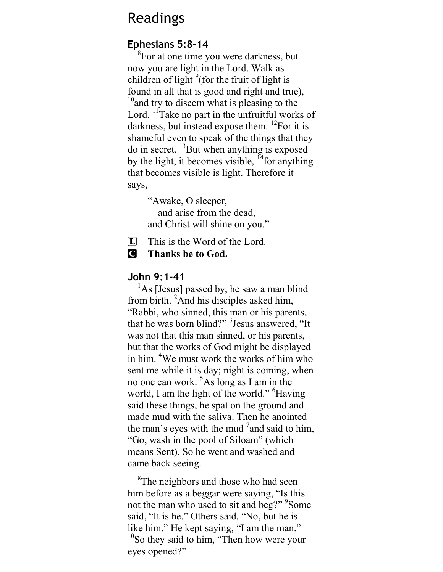## Readings

### Ephesians 5:8–14

<sup>8</sup>For at one time you were darkness, but now you are light in the Lord. Walk as children of light  $9$  (for the fruit of light is found in all that is good and right and true),  $10<sup>10</sup>$  and try to discern what is pleasing to the Lord.  $<sup>11</sup>$ Take no part in the unfruitful works of</sup> darkness, but instead expose them.  $^{12}$ For it is shameful even to speak of the things that they do in secret.  $^{13}$ But when anything is exposed by the light, it becomes visible,  $^{14}$  for anything that becomes visible is light. Therefore it says,

> "Awake, O sleeper, and arise from the dead, and Christ will shine on you."

 $[L]$  This is the Word of the Lord.

C Thanks be to God.

### John 9:1-41

 $<sup>1</sup>$ As [Jesus] passed by, he saw a man blind</sup> from birth.  ${}^{2}$ And his disciples asked him, "Rabbi, who sinned, this man or his parents, that he was born blind?" <sup>3</sup> Jesus answered, "It was not that this man sinned, or his parents, but that the works of God might be displayed in him. <sup>4</sup>We must work the works of him who sent me while it is day; night is coming, when no one can work.  ${}^{5}$ As long as I am in the world, I am the light of the world." Having said these things, he spat on the ground and made mud with the saliva. Then he anointed the man's eyes with the mud  $7$  and said to him, "Go, wash in the pool of Siloam" (which means Sent). So he went and washed and came back seeing.

<sup>8</sup>The neighbors and those who had seen him before as a beggar were saying, "Is this not the man who used to sit and beg?" <sup>9</sup>Some said, "It is he." Others said, "No, but he is like him." He kept saying, "I am the man." <sup>10</sup>So they said to him, "Then how were your eyes opened?"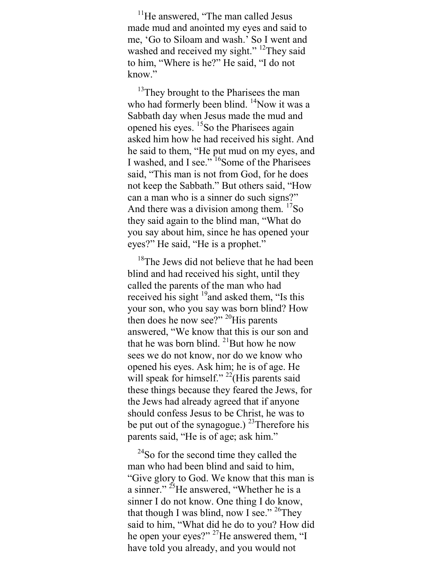<sup>11</sup>He answered, "The man called Jesus" made mud and anointed my eyes and said to me, 'Go to Siloam and wash.' So I went and washed and received my sight." <sup>12</sup>They said to him, "Where is he?" He said, "I do not know."

<sup>13</sup>They brought to the Pharisees the man who had formerly been blind.  $\frac{14}{18}$ Now it was a Sabbath day when Jesus made the mud and opened his eyes. <sup>15</sup>So the Pharisees again asked him how he had received his sight. And he said to them, "He put mud on my eyes, and I washed, and I see." <sup>16</sup>Some of the Pharisees said, "This man is not from God, for he does not keep the Sabbath." But others said, "How can a man who is a sinner do such signs?" And there was a division among them.  $\frac{17}{50}$ they said again to the blind man, "What do you say about him, since he has opened your eyes?" He said, "He is a prophet."

<sup>18</sup>The Jews did not believe that he had been blind and had received his sight, until they called the parents of the man who had received his sight  $19$  and asked them, "Is this your son, who you say was born blind? How then does he now see?"  $^{20}$ His parents answered, "We know that this is our son and that he was born blind.  $^{21}$ But how he now sees we do not know, nor do we know who opened his eyes. Ask him; he is of age. He will speak for himself."  $^{22}$ (His parents said these things because they feared the Jews, for the Jews had already agreed that if anyone should confess Jesus to be Christ, he was to be put out of the synagogue.) <sup>23</sup>Therefore his parents said, "He is of age; ask him."

<sup>24</sup>So for the second time they called the man who had been blind and said to him, "Give glory to God. We know that this man is a sinner."<sup>25</sup>He answered, "Whether he is a sinner I do not know. One thing I do know, that though I was blind, now I see." <sup>26</sup>They said to him, "What did he do to you? How did he open your eyes?" <sup>27</sup>He answered them, "I have told you already, and you would not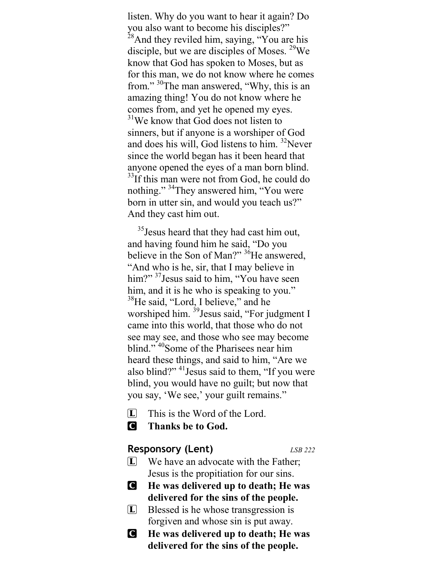listen. Why do you want to hear it again? Do you also want to become his disciples?"  $^{28}$ And they reviled him, saying, "You are his disciple, but we are disciples of Moses. <sup>29</sup>We know that God has spoken to Moses, but as for this man, we do not know where he comes from."<sup>30</sup>The man answered, "Why, this is an amazing thing! You do not know where he comes from, and yet he opened my eyes.  $31$ We know that God does not listen to sinners, but if anyone is a worshiper of God and does his will, God listens to him.  $32$ Never since the world began has it been heard that anyone opened the eyes of a man born blind.  $33$ If this man were not from God, he could do nothing." <sup>34</sup>They answered him, "You were born in utter sin, and would you teach us?" And they cast him out.

<sup>35</sup> Jesus heard that they had cast him out, and having found him he said, "Do you believe in the Son of Man?"  ${}^{36}$ He answered, "And who is he, sir, that I may believe in him?" <sup>37</sup>Jesus said to him, "You have seen him, and it is he who is speaking to you." <sup>38</sup>He said, "Lord, I believe," and he worshiped him. <sup>39</sup> Jesus said, "For judgment I came into this world, that those who do not see may see, and those who see may become blind."<sup>40</sup>Some of the Pharisees near him heard these things, and said to him, "Are we also blind?"  $41$  Jesus said to them, "If you were blind, you would have no guilt; but now that you say, 'We see,' your guilt remains."

- $\Box$  This is the Word of the Lord.
- C Thanks be to God.

#### Responsory (Lent) ESB 222

- $\Box$  We have an advocate with the Father; Jesus is the propitiation for our sins.
- C He was delivered up to death; He was delivered for the sins of the people.
- L Blessed is he whose transgression is forgiven and whose sin is put away.
- C He was delivered up to death; He was delivered for the sins of the people.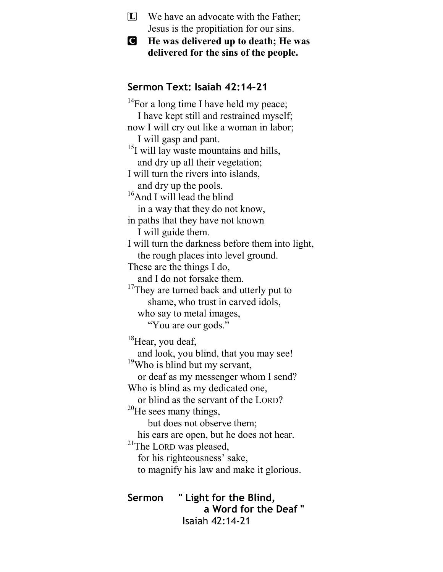- $\boxed{\mathbf{L}}$  We have an advocate with the Father; Jesus is the propitiation for our sins.
- C He was delivered up to death; He was delivered for the sins of the people.

### Sermon Text: Isaiah 42:14–21

 $14$ For a long time I have held my peace; I have kept still and restrained myself; now I will cry out like a woman in labor; I will gasp and pant.  $15$ I will lay waste mountains and hills, and dry up all their vegetation; I will turn the rivers into islands, and dry up the pools. <sup>16</sup>And I will lead the blind in a way that they do not know, in paths that they have not known I will guide them. I will turn the darkness before them into light, the rough places into level ground. These are the things I do, and I do not forsake them. <sup>17</sup>They are turned back and utterly put to shame, who trust in carved idols, who say to metal images, "You are our gods." <sup>18</sup>Hear, you deaf, and look, you blind, that you may see! <sup>19</sup>Who is blind but my servant, or deaf as my messenger whom I send? Who is blind as my dedicated one, or blind as the servant of the LORD? <sup>20</sup>He sees many things, but does not observe them; his ears are open, but he does not hear. <sup>21</sup>The LORD was pleased, for his righteousness' sake, to magnify his law and make it glorious. Sermon " Light for the Blind,

 a Word for the Deaf " Isaiah 42:14-21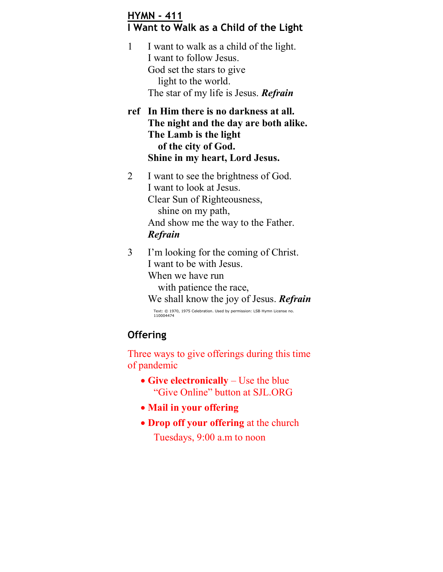### HYMN - 411 I Want to Walk as a Child of the Light

1 I want to walk as a child of the light. I want to follow Jesus. God set the stars to give light to the world. The star of my life is Jesus. Refrain

ref In Him there is no darkness at all. The night and the day are both alike. The Lamb is the light of the city of God. Shine in my heart, Lord Jesus.

- 2 I want to see the brightness of God. I want to look at Jesus. Clear Sun of Righteousness, shine on my path, And show me the way to the Father. Refrain
- 3 I'm looking for the coming of Christ. I want to be with Jesus. When we have run with patience the race, We shall know the joy of Jesus. **Refrain**

Text: © 1970, 1975 Celebration. Used by permission: LSB Hymn License no. 110004474

## **Offering**

Three ways to give offerings during this time of pandemic

- Give electronically  $-$  Use the blue "Give Online" button at SJL.ORG
- Mail in your offering
- Drop off your offering at the church Tuesdays, 9:00 a.m to noon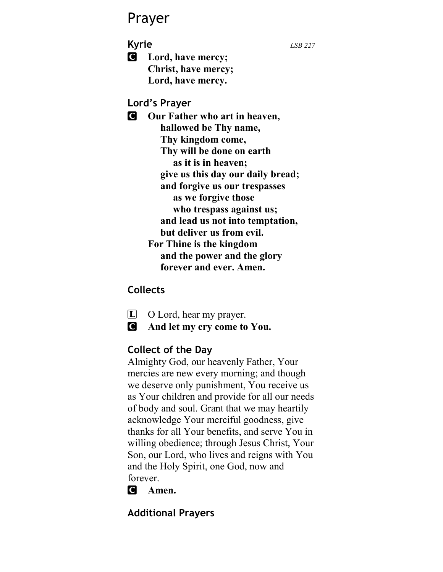# Prayer

**Kyrie** LSB 227

**C** Lord, have mercy; Christ, have mercy; Lord, have mercy.

### Lord's Prayer

**C** Our Father who art in heaven, hallowed be Thy name, Thy kingdom come, Thy will be done on earth as it is in heaven; give us this day our daily bread; and forgive us our trespasses as we forgive those who trespass against us; and lead us not into temptation, but deliver us from evil. For Thine is the kingdom and the power and the glory forever and ever. Amen.

### **Collects**



- $\Box$  O Lord, hear my prayer.
- C And let my cry come to You.

## Collect of the Day

Almighty God, our heavenly Father, Your mercies are new every morning; and though we deserve only punishment, You receive us as Your children and provide for all our needs of body and soul. Grant that we may heartily acknowledge Your merciful goodness, give thanks for all Your benefits, and serve You in willing obedience; through Jesus Christ, Your Son, our Lord, who lives and reigns with You and the Holy Spirit, one God, now and forever.

C Amen.

## Additional Prayers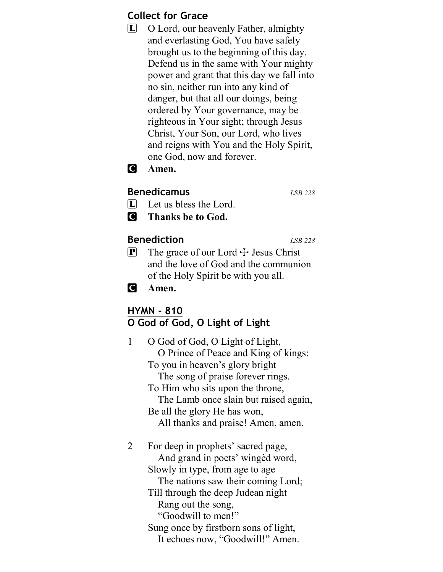### Collect for Grace

L O Lord, our heavenly Father, almighty and everlasting God, You have safely brought us to the beginning of this day. Defend us in the same with Your mighty power and grant that this day we fall into no sin, neither run into any kind of danger, but that all our doings, being ordered by Your governance, may be righteous in Your sight; through Jesus Christ, Your Son, our Lord, who lives and reigns with You and the Holy Spirit, one God, now and forever.

### **C** Amen.

#### Benedicamus LSB 228

- $\boxed{\mathbf{L}}$  Let us bless the Lord.
- C Thanks be to God.

### Benediction LSB 228

 $\mathbf{P}$  The grace of our Lord  $\div$  Jesus Christ and the love of God and the communion of the Holy Spirit be with you all.

**C** Amen.

### HYMN - 810 O God of God, O Light of Light

| O God of God, O Light of Light,<br>O Prince of Peace and King of kings:<br>To you in heaven's glory bright<br>The song of praise forever rings.<br>To Him who sits upon the throne,<br>The Lamb once slain but raised again,<br>Be all the glory He has won,<br>All thanks and praise! Amen, amen. |
|----------------------------------------------------------------------------------------------------------------------------------------------------------------------------------------------------------------------------------------------------------------------------------------------------|
| For deep in prophets' sacred page,<br>And grand in poets' winged word,<br>Slowly in type, from age to age<br>The nations saw their coming Lord;<br>Till through the deep Judean night<br>Rang out the song,<br>"Goodwill to men!"                                                                  |
|                                                                                                                                                                                                                                                                                                    |

Sung once by firstborn sons of light, It echoes now, "Goodwill!" Amen.